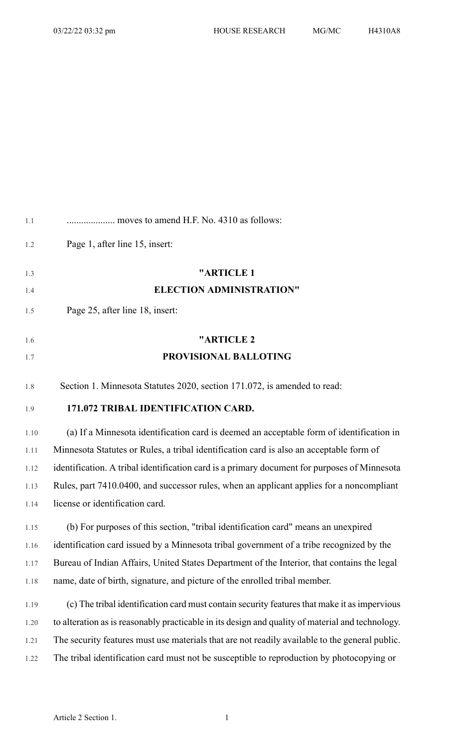| 1.1  | moves to amend H.F. No. 4310 as follows:                                                         |
|------|--------------------------------------------------------------------------------------------------|
| 1.2  | Page 1, after line 15, insert:                                                                   |
| 1.3  | "ARTICLE 1                                                                                       |
| 1.4  | <b>ELECTION ADMINISTRATION"</b>                                                                  |
| 1.5  | Page 25, after line 18, insert:                                                                  |
| 1.6  | "ARTICLE <sub>2</sub>                                                                            |
| 1.7  | PROVISIONAL BALLOTING                                                                            |
| 1.8  | Section 1. Minnesota Statutes 2020, section 171.072, is amended to read:                         |
| 1.9  | 171.072 TRIBAL IDENTIFICATION CARD.                                                              |
| 1.10 | (a) If a Minnesota identification card is deemed an acceptable form of identification in         |
| 1.11 | Minnesota Statutes or Rules, a tribal identification card is also an acceptable form of          |
| 1.12 | identification. A tribal identification card is a primary document for purposes of Minnesota     |
| 1.13 | Rules, part 7410.0400, and successor rules, when an applicant applies for a noncompliant         |
| 1.14 | license or identification card.                                                                  |
| 1.15 | (b) For purposes of this section, "tribal identification card" means an unexpired                |
| 1.16 | identification card issued by a Minnesota tribal government of a tribe recognized by the         |
| 1.17 | Bureau of Indian Affairs, United States Department of the Interior, that contains the legal      |
| 1.18 | name, date of birth, signature, and picture of the enrolled tribal member.                       |
| 1.19 | (c) The tribal identification card must contain security features that make it as impervious     |
| 1.20 | to alteration as is reasonably practicable in its design and quality of material and technology. |
| 1.21 | The security features must use materials that are not readily available to the general public.   |
| 1.22 | The tribal identification card must not be susceptible to reproduction by photocopying or        |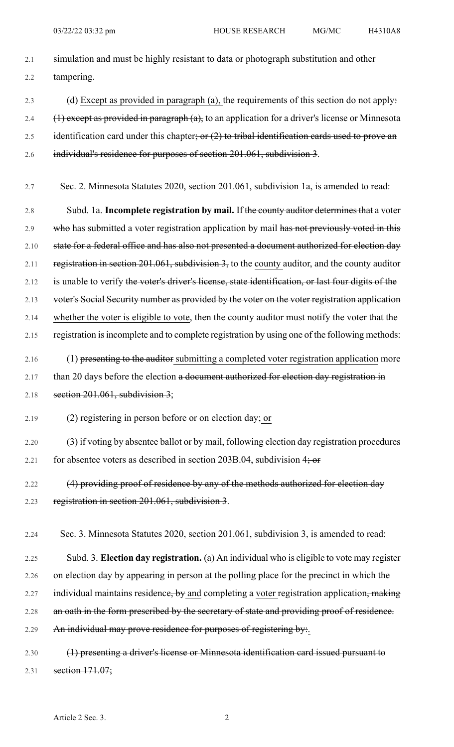2.1 simulation and must be highly resistant to data or photograph substitution and other 2.2 tampering. 2.3 (d) Except as provided in paragraph (a), the requirements of this section do not apply: 2.4  $(1)$  except as provided in paragraph  $(a)$ , to an application for a driver's license or Minnesota 2.5 identification card under this chapter; or  $(2)$  to tribal identification cards used to prove an 2.6 individual's residence for purposes of section 201.061, subdivision 3. 2.7 Sec. 2. Minnesota Statutes 2020, section 201.061, subdivision 1a, is amended to read: 2.8 Subd. 1a. **Incomplete registration by mail.** If the county auditor determinesthat a voter 2.9 who has submitted a voter registration application by mail has not previously voted in this 2.10 state for a federal office and has also not presented a document authorized for election day 2.11 registration in section 201.061, subdivision 3, to the county auditor, and the county auditor 2.12 is unable to verify the voter's driver's license, state identification, or last four digits of the

2.13 voter's Social Security number as provided by the voter on the voter registration application

- 2.14 whether the voter is eligible to vote, then the county auditor must notify the voter that the
- 2.15 registration is incomplete and to complete registration by using one of the following methods:
- 2.16 (1) presenting to the auditor submitting a completed voter registration application more 2.17 than 20 days before the election a document authorized for election day registration in 2.18 section  $201.061$ , subdivision 3;

2.19 (2) registering in person before or on election day; or

- 2.20 (3) if voting by absentee ballot or by mail, following election day registration procedures 2.21 for absentee voters as described in section 203B.04, subdivision  $4\frac{1}{2}$  or
- 2.22 (4) providing proof of residence by any of the methods authorized for election day 2.23 registration in section 201.061, subdivision 3.

2.24 Sec. 3. Minnesota Statutes 2020, section 201.061, subdivision 3, is amended to read:

- 2.25 Subd. 3. **Election day registration.** (a) An individual who is eligible to vote may register 2.26 on election day by appearing in person at the polling place for the precinct in which the 2.27 individual maintains residence, by and completing a voter registration application, making 2.28 an oath in the form prescribed by the secretary of state and providing proof of residence. 2.29 An individual may prove residence for purposes of registering by:
- 2.30 (1) presenting a driver's license or Minnesota identification card issued pursuant to 2.31 section 171.07;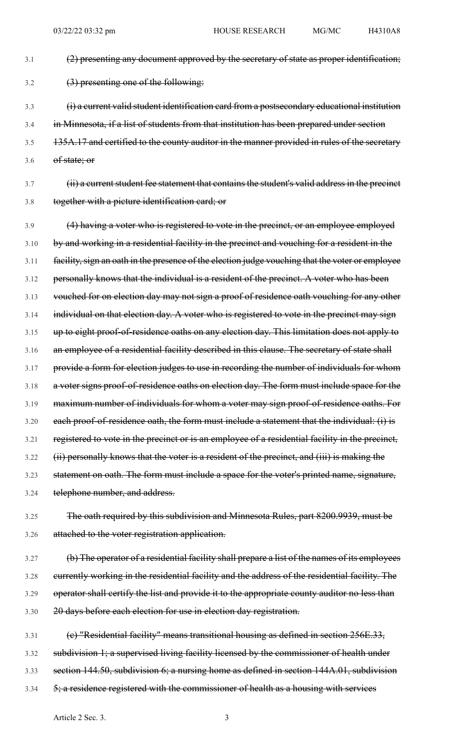3.1 (2) presenting any document approved by the secretary of state as proper identification;

3.2 (3) presenting one of the following:

- 3.3 (i) a current valid student identification card from a postsecondary educational institution
- 3.4 in Minnesota, if a list of students from that institution has been prepared under section
- 3.5 135A.17 and certified to the county auditor in the manner provided in rules of the secretary
- 3.6 of state; or
- 3.7 (ii) a current student fee statement that contains the student's valid address in the precinct 3.8 together with a picture identification card; or
- 3.9 (4) having a voter who is registered to vote in the precinct, or an employee employed 3.10 by and working in a residential facility in the precinct and vouching for a resident in the 3.11 facility, sign an oath in the presence of the election judge vouching that the voter or employee 3.12 personally knows that the individual is a resident of the precinct. A voter who has been 3.13 vouched for on election day may not sign a proof of residence oath vouching for any other 3.14 individual on that election day. A voter who is registered to vote in the precinct may sign 3.15 up to eight proof-of-residence oaths on any election day. This limitation does not apply to 3.16 an employee of a residential facility described in this clause. The secretary of state shall 3.17 provide a form for election judges to use in recording the number of individuals for whom 3.18 a voter signs proof-of-residence oaths on election day. The form must include space for the 3.19 maximum number of individuals for whom a voter may sign proof-of-residence oaths. For 3.20 each proof-of-residence oath, the form must include a statement that the individual: (i) is 3.21 registered to vote in the precinct or is an employee of a residential facility in the precinct, 3.22 (ii) personally knows that the voter is a resident of the precinct, and (iii) is making the 3.23 statement on oath. The form must include a space for the voter's printed name, signature, 3.24 telephone number, and address.
- 3.25 The oath required by this subdivision and Minnesota Rules, part 8200.9939, must be 3.26 attached to the voter registration application.
- 3.27 (b) The operator of a residential facility shall prepare a list of the names of its employees 3.28 currently working in the residential facility and the address of the residential facility. The 3.29 operator shall certify the list and provide it to the appropriate county auditor no less than 3.30 20 days before each election for use in election day registration.
- 3.31 (c) "Residential facility" means transitional housing as defined in section 256E.33, 3.32 subdivision 1; a supervised living facility licensed by the commissioner of health under 3.33 section 144.50, subdivision 6; a nursing home as defined in section 144A.01, subdivision 3.34 5; a residence registered with the commissioner of health as a housing with services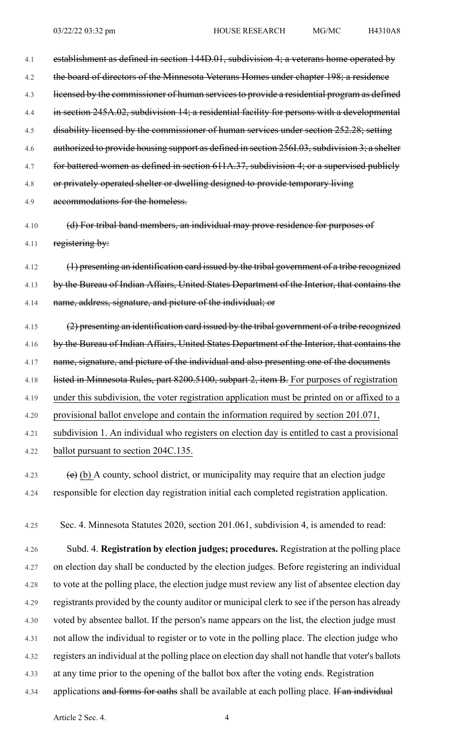| 4.1  | establishment as defined in section 144D.01, subdivision 4; a veterans home operated by       |
|------|-----------------------------------------------------------------------------------------------|
| 4.2  | the board of directors of the Minnesota Veterans Homes under chapter 198; a residence         |
| 4.3  | licensed by the commissioner of human services to provide a residential program as defined    |
| 4.4  | in section 245A.02, subdivision 14; a residential facility for persons with a developmental   |
| 4.5  | disability licensed by the commissioner of human services under section 252.28; setting       |
| 4.6  | authorized to provide housing support as defined in section 256I.03, subdivision 3; a shelter |
| 4.7  | for battered women as defined in section 611A.37, subdivision 4; or a supervised publicly     |
| 4.8  | or privately operated shelter or dwelling designed to provide temporary living                |
| 4.9  | accommodations for the homeless.                                                              |
| 4.10 | (d) For tribal band members, an individual may prove residence for purposes of                |
| 4.11 | registering by:                                                                               |
|      |                                                                                               |
| 4.12 | (1) presenting an identification card issued by the tribal government of a tribe recognized   |
| 4.13 | by the Bureau of Indian Affairs, United States Department of the Interior, that contains the  |
| 4.14 | name, address, signature, and picture of the individual; or                                   |
| 4.15 | (2) presenting an identification card issued by the tribal government of a tribe recognized   |
| 4.16 | by the Bureau of Indian Affairs, United States Department of the Interior, that contains the  |

4.18 listed in Minnesota Rules, part 8200.5100, subpart 2, item B. For purposes of registration

4.17 name, signature, and picture of the individual and also presenting one of the documents

4.19 under this subdivision, the voter registration application must be printed on or affixed to a

4.20 provisional ballot envelope and contain the information required by section 201.071,

4.21 subdivision 1. An individual who registers on election day is entitled to cast a provisional 4.22 ballot pursuant to section 204C.135.

4.23  $\textbf{(e)}$  (b) A county, school district, or municipality may require that an election judge 4.24 responsible for election day registration initial each completed registration application.

4.25 Sec. 4. Minnesota Statutes 2020, section 201.061, subdivision 4, is amended to read:

4.26 Subd. 4. **Registration by election judges; procedures.** Registration at the polling place 4.27 on election day shall be conducted by the election judges. Before registering an individual 4.28 to vote at the polling place, the election judge must review any list of absentee election day 4.29 registrants provided by the county auditor or municipal clerk to see if the person has already 4.30 voted by absentee ballot. If the person's name appears on the list, the election judge must 4.31 not allow the individual to register or to vote in the polling place. The election judge who 4.32 registers an individual at the polling place on election day shall not handle that voter's ballots 4.33 at any time prior to the opening of the ballot box after the voting ends. Registration 4.34 applications and forms for oaths shall be available at each polling place. If an individual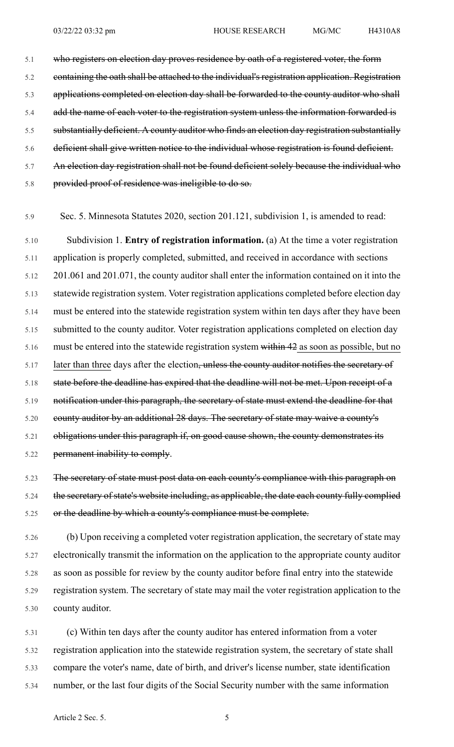5.1 who registers on election day proves residence by oath of a registered voter, the form 5.2 containing the oath shall be attached to the individual's registration application. Registration 5.3 applications completed on election day shall be forwarded to the county auditor who shall 5.4 add the name of each voter to the registration system unless the information forwarded is 5.5 substantially deficient. A county auditor who finds an election day registration substantially 5.6 deficient shall give written notice to the individual whose registration is found deficient. 5.7 An election day registration shall not be found deficient solely because the individual who 5.8 provided proof of residence was ineligible to do so.

5.9 Sec. 5. Minnesota Statutes 2020, section 201.121, subdivision 1, is amended to read:

5.10 Subdivision 1. **Entry of registration information.** (a) At the time a voter registration 5.11 application is properly completed, submitted, and received in accordance with sections 5.12 201.061 and 201.071, the county auditor shall enter the information contained on it into the 5.13 statewide registration system. Voter registration applications completed before election day 5.14 must be entered into the statewide registration system within ten days after they have been 5.15 submitted to the county auditor. Voter registration applications completed on election day 5.16 must be entered into the statewide registration system within 42 as soon as possible, but no 5.17 later than three days after the election<del>, unless the county auditor notifies the secretary of</del> 5.18 state before the deadline has expired that the deadline will not be met. Upon receipt of a 5.19 notification under this paragraph, the secretary of state must extend the deadline for that 5.20 county auditor by an additional 28 days. The secretary of state may waive a county's 5.21 obligations under this paragraph if, on good cause shown, the county demonstrates its 5.22 permanent inability to comply.

5.23 The secretary of state must post data on each county's compliance with this paragraph on 5.24 the secretary of state's website including, as applicable, the date each county fully complied 5.25 or the deadline by which a county's compliance must be complete.

5.26 (b) Upon receiving a completed voter registration application, the secretary of state may 5.27 electronically transmit the information on the application to the appropriate county auditor 5.28 as soon as possible for review by the county auditor before final entry into the statewide 5.29 registration system. The secretary of state may mail the voter registration application to the 5.30 county auditor.

5.31 (c) Within ten days after the county auditor has entered information from a voter 5.32 registration application into the statewide registration system, the secretary of state shall 5.33 compare the voter's name, date of birth, and driver's license number, state identification 5.34 number, or the last four digits of the Social Security number with the same information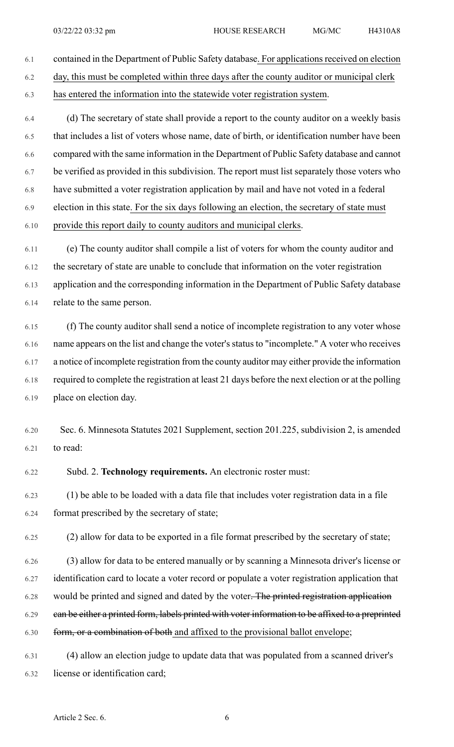- 6.1 contained in the Department of Public Safety database. For applicationsreceived on election 6.2 day, this must be completed within three days after the county auditor or municipal clerk 6.3 has entered the information into the statewide voter registration system.
- 6.4 (d) The secretary of state shall provide a report to the county auditor on a weekly basis 6.5 that includes a list of voters whose name, date of birth, or identification number have been 6.6 compared with the same information in the Department of Public Safety database and cannot 6.7 be verified as provided in this subdivision. The report must list separately those voters who 6.8 have submitted a voter registration application by mail and have not voted in a federal 6.9 election in this state. For the six days following an election, the secretary of state must 6.10 provide this report daily to county auditors and municipal clerks.
- 6.11 (e) The county auditor shall compile a list of voters for whom the county auditor and 6.12 the secretary of state are unable to conclude that information on the voter registration 6.13 application and the corresponding information in the Department of Public Safety database 6.14 relate to the same person.
- 6.15 (f) The county auditor shall send a notice of incomplete registration to any voter whose 6.16 name appears on the list and change the voter's status to "incomplete." A voter who receives 6.17 a notice of incomplete registration from the county auditor may either provide the information 6.18 required to complete the registration at least 21 days before the next election or at the polling 6.19 place on election day.
- 6.20 Sec. 6. Minnesota Statutes 2021 Supplement, section 201.225, subdivision 2, is amended 6.21 to read:
- 6.22 Subd. 2. **Technology requirements.** An electronic roster must:
- 6.23 (1) be able to be loaded with a data file that includes voter registration data in a file 6.24 format prescribed by the secretary of state;
- 6.25 (2) allow for data to be exported in a file format prescribed by the secretary of state;
- 6.26 (3) allow for data to be entered manually or by scanning a Minnesota driver's license or 6.27 identification card to locate a voter record or populate a voter registration application that 6.28 would be printed and signed and dated by the voter. The printed registration application 6.29 can be either a printed form, labels printed with voter information to be affixed to a preprinted 6.30 form, or a combination of both and affixed to the provisional ballot envelope;
- 6.31 (4) allow an election judge to update data that was populated from a scanned driver's 6.32 license or identification card;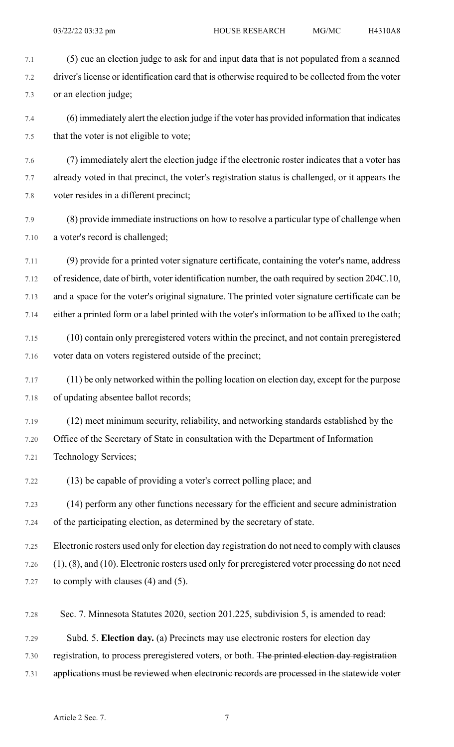7.1 (5) cue an election judge to ask for and input data that is not populated from a scanned 7.2 driver's license or identification card that is otherwise required to be collected from the voter 7.3 or an election judge;

7.4 (6) immediately alert the election judge if the voter has provided information that indicates 7.5 that the voter is not eligible to vote;

7.6 (7) immediately alert the election judge if the electronic roster indicates that a voter has 7.7 already voted in that precinct, the voter's registration status is challenged, or it appears the 7.8 voter resides in a different precinct;

7.9 (8) provide immediate instructions on how to resolve a particular type of challenge when 7.10 a voter's record is challenged;

7.11 (9) provide for a printed voter signature certificate, containing the voter's name, address 7.12 of residence, date of birth, voter identification number, the oath required by section 204C.10, 7.13 and a space for the voter's original signature. The printed voter signature certificate can be 7.14 either a printed form or a label printed with the voter's information to be affixed to the oath;

- 7.15 (10) contain only preregistered voters within the precinct, and not contain preregistered 7.16 voter data on voters registered outside of the precinct;
- 7.17 (11) be only networked within the polling location on election day, except for the purpose 7.18 of updating absentee ballot records;
- 7.19 (12) meet minimum security, reliability, and networking standards established by the 7.20 Office of the Secretary of State in consultation with the Department of Information 7.21 Technology Services;
- 7.22 (13) be capable of providing a voter's correct polling place; and

7.23 (14) perform any other functions necessary for the efficient and secure administration 7.24 of the participating election, as determined by the secretary of state.

7.25 Electronic rosters used only for election day registration do not need to comply with clauses 7.26 (1), (8), and (10). Electronic rosters used only for preregistered voter processing do not need 7.27 to comply with clauses (4) and (5).

- 7.28 Sec. 7. Minnesota Statutes 2020, section 201.225, subdivision 5, is amended to read:
- 7.29 Subd. 5. **Election day.** (a) Precincts may use electronic rosters for election day
- 7.30 registration, to process preregistered voters, or both. The printed election day registration
- 7.31 applications must be reviewed when electronic records are processed in the statewide voter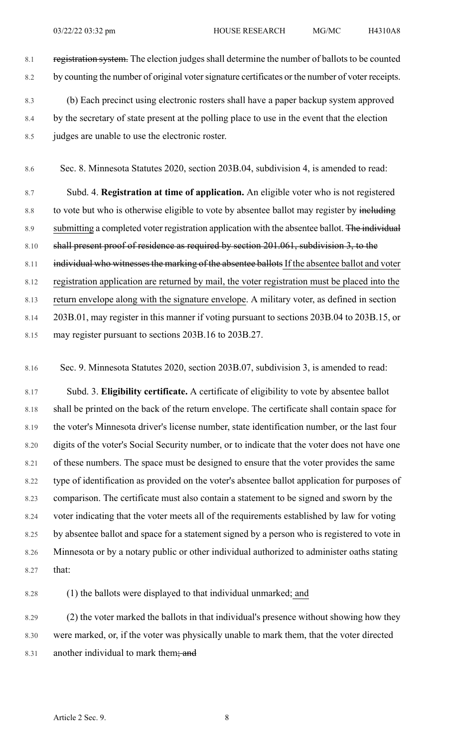- 8.1 registration system. The election judges shall determine the number of ballots to be counted 8.2 by counting the number of original voter signature certificates or the number of voter receipts. 8.3 (b) Each precinct using electronic rosters shall have a paper backup system approved 8.4 by the secretary of state present at the polling place to use in the event that the election
- 8.5 judges are unable to use the electronic roster.

8.6 Sec. 8. Minnesota Statutes 2020, section 203B.04, subdivision 4, is amended to read:

8.7 Subd. 4. **Registration at time of application.** An eligible voter who is not registered 8.8 to vote but who is otherwise eligible to vote by absentee ballot may register by including 8.9 submitting a completed voter registration application with the absentee ballot. The individual 8.10 shall present proof of residence as required by section 201.061, subdivision 3, to the 8.11 individual who witnesses the marking of the absentee ballots If the absentee ballot and voter 8.12 registration application are returned by mail, the voter registration must be placed into the 8.13 return envelope along with the signature envelope. A military voter, as defined in section 8.14 203B.01, may register in this manner if voting pursuant to sections 203B.04 to 203B.15, or 8.15 may register pursuant to sections 203B.16 to 203B.27.

8.16 Sec. 9. Minnesota Statutes 2020, section 203B.07, subdivision 3, is amended to read:

8.17 Subd. 3. **Eligibility certificate.** A certificate of eligibility to vote by absentee ballot 8.18 shall be printed on the back of the return envelope. The certificate shall contain space for 8.19 the voter's Minnesota driver's license number, state identification number, or the last four 8.20 digits of the voter's Social Security number, or to indicate that the voter does not have one 8.21 of these numbers. The space must be designed to ensure that the voter provides the same 8.22 type of identification as provided on the voter's absentee ballot application for purposes of 8.23 comparison. The certificate must also contain a statement to be signed and sworn by the 8.24 voter indicating that the voter meets all of the requirements established by law for voting 8.25 by absentee ballot and space for a statement signed by a person who is registered to vote in 8.26 Minnesota or by a notary public or other individual authorized to administer oaths stating 8.27 that:

8.28 (1) the ballots were displayed to that individual unmarked; and

8.29 (2) the voter marked the ballots in that individual's presence without showing how they 8.30 were marked, or, if the voter was physically unable to mark them, that the voter directed 8.31 another individual to mark them; and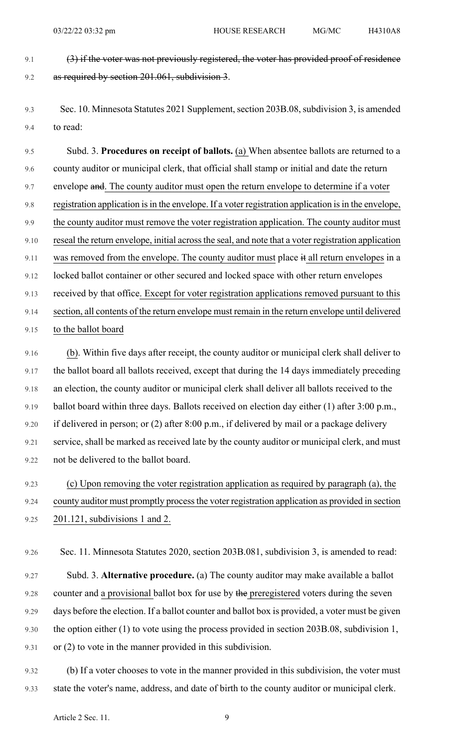9.1 (3) if the voter was not previously registered, the voter has provided proof of residence 9.2 as required by section 201.061, subdivision 3.

9.3 Sec. 10. Minnesota Statutes 2021 Supplement, section 203B.08, subdivision 3, is amended 9.4 to read:

9.5 Subd. 3. **Procedures on receipt of ballots.** (a) When absentee ballots are returned to a 9.6 county auditor or municipal clerk, that official shall stamp or initial and date the return 9.7 envelope and. The county auditor must open the return envelope to determine if a voter 9.8 registration application is in the envelope. If a voter registration application is in the envelope, 9.9 the county auditor must remove the voter registration application. The county auditor must 9.10 reseal the return envelope, initial across the seal, and note that a voter registration application 9.11 was removed from the envelope. The county auditor must place  $\ddot{a}$  all return envelopes in a 9.12 locked ballot container or other secured and locked space with other return envelopes 9.13 received by that office. Except for voter registration applications removed pursuant to this 9.14 section, all contents of the return envelope must remain in the return envelope until delivered 9.15 to the ballot board

9.16 (b). Within five days after receipt, the county auditor or municipal clerk shall deliver to 9.17 the ballot board all ballots received, except that during the 14 days immediately preceding 9.18 an election, the county auditor or municipal clerk shall deliver all ballots received to the 9.19 ballot board within three days. Ballots received on election day either (1) after 3:00 p.m., 9.20 if delivered in person; or (2) after 8:00 p.m., if delivered by mail or a package delivery 9.21 service, shall be marked as received late by the county auditor or municipal clerk, and must 9.22 not be delivered to the ballot board.

9.23 (c) Upon removing the voter registration application as required by paragraph (a), the 9.24 county auditor must promptly process the voter registration application as provided in section 9.25 201.121, subdivisions 1 and 2.

9.26 Sec. 11. Minnesota Statutes 2020, section 203B.081, subdivision 3, is amended to read:

9.27 Subd. 3. **Alternative procedure.** (a) The county auditor may make available a ballot 9.28 counter and a provisional ballot box for use by the preregistered voters during the seven 9.29 days before the election. If a ballot counter and ballot box is provided, a voter must be given 9.30 the option either (1) to vote using the process provided in section 203B.08, subdivision 1, 9.31 or (2) to vote in the manner provided in this subdivision.

9.32 (b) If a voter chooses to vote in the manner provided in this subdivision, the voter must 9.33 state the voter's name, address, and date of birth to the county auditor or municipal clerk.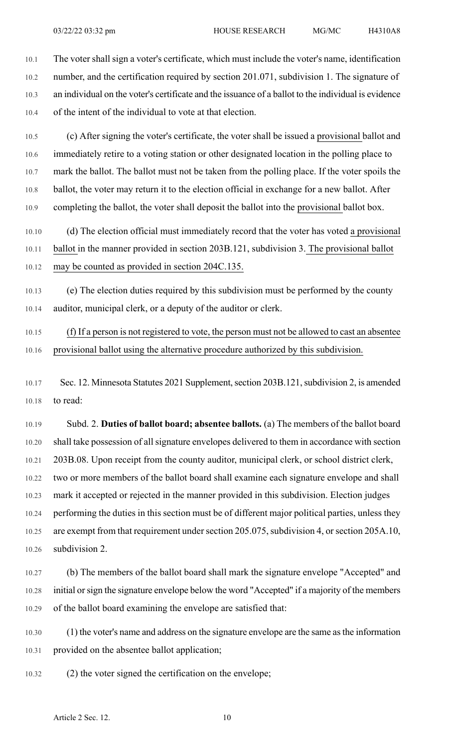10.1 The voter shall sign a voter's certificate, which must include the voter's name, identification 10.2 number, and the certification required by section 201.071, subdivision 1. The signature of 10.3 an individual on the voter's certificate and the issuance of a ballot to the individual is evidence 10.4 of the intent of the individual to vote at that election.

10.5 (c) After signing the voter's certificate, the voter shall be issued a provisional ballot and 10.6 immediately retire to a voting station or other designated location in the polling place to 10.7 mark the ballot. The ballot must not be taken from the polling place. If the voter spoils the 10.8 ballot, the voter may return it to the election official in exchange for a new ballot. After 10.9 completing the ballot, the voter shall deposit the ballot into the provisional ballot box.

10.10 (d) The election official must immediately record that the voter has voted a provisional 10.11 ballot in the manner provided in section 203B.121, subdivision 3. The provisional ballot 10.12 may be counted as provided in section 204C.135.

10.13 (e) The election duties required by this subdivision must be performed by the county 10.14 auditor, municipal clerk, or a deputy of the auditor or clerk.

10.15 (f) If a person is not registered to vote, the person must not be allowed to cast an absentee 10.16 provisional ballot using the alternative procedure authorized by this subdivision.

10.17 Sec. 12. Minnesota Statutes 2021 Supplement, section 203B.121, subdivision 2, is amended 10.18 to read:

10.19 Subd. 2. **Duties of ballot board; absentee ballots.** (a) The members of the ballot board 10.20 shall take possession of all signature envelopes delivered to them in accordance with section 10.21 203B.08. Upon receipt from the county auditor, municipal clerk, or school district clerk, 10.22 two or more members of the ballot board shall examine each signature envelope and shall 10.23 mark it accepted or rejected in the manner provided in this subdivision. Election judges 10.24 performing the duties in this section must be of different major political parties, unless they 10.25 are exempt from that requirement under section 205.075, subdivision 4, or section 205A.10, 10.26 subdivision 2.

10.27 (b) The members of the ballot board shall mark the signature envelope "Accepted" and 10.28 initial orsign the signature envelope below the word "Accepted" if a majority of the members 10.29 of the ballot board examining the envelope are satisfied that:

10.30 (1) the voter's name and address on the signature envelope are the same asthe information 10.31 provided on the absentee ballot application;

10.32 (2) the voter signed the certification on the envelope;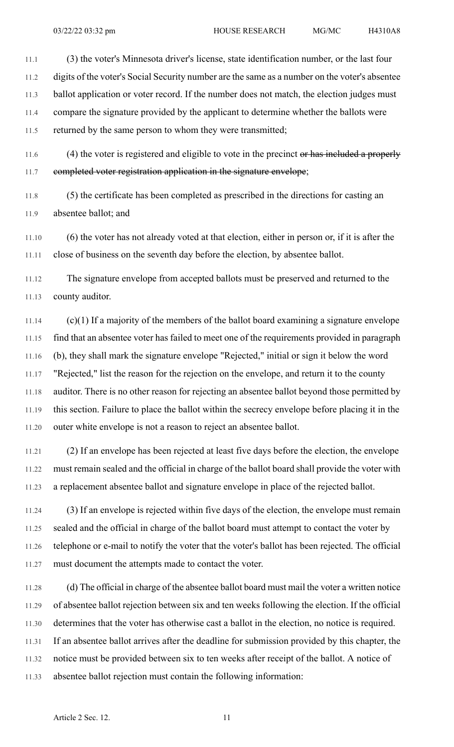11.1 (3) the voter's Minnesota driver's license, state identification number, or the last four 11.2 digits of the voter's Social Security number are the same as a number on the voter's absentee 11.3 ballot application or voter record. If the number does not match, the election judges must 11.4 compare the signature provided by the applicant to determine whether the ballots were 11.5 returned by the same person to whom they were transmitted;

11.6 (4) the voter is registered and eligible to vote in the precinct or has included a properly 11.7 completed voter registration application in the signature envelope;

11.8 (5) the certificate has been completed as prescribed in the directions for casting an 11.9 absentee ballot; and

11.10 (6) the voter has not already voted at that election, either in person or, if it is after the 11.11 close of business on the seventh day before the election, by absentee ballot.

11.12 The signature envelope from accepted ballots must be preserved and returned to the 11.13 county auditor.

11.14  $(c)(1)$  If a majority of the members of the ballot board examining a signature envelope 11.15 find that an absentee voter has failed to meet one of the requirements provided in paragraph 11.16 (b), they shall mark the signature envelope "Rejected," initial or sign it below the word 11.17 "Rejected," list the reason for the rejection on the envelope, and return it to the county 11.18 auditor. There is no other reason for rejecting an absentee ballot beyond those permitted by 11.19 this section. Failure to place the ballot within the secrecy envelope before placing it in the 11.20 outer white envelope is not a reason to reject an absentee ballot.

11.21 (2) If an envelope has been rejected at least five days before the election, the envelope 11.22 must remain sealed and the official in charge of the ballot board shall provide the voter with 11.23 a replacement absentee ballot and signature envelope in place of the rejected ballot.

11.24 (3) If an envelope is rejected within five days of the election, the envelope must remain 11.25 sealed and the official in charge of the ballot board must attempt to contact the voter by 11.26 telephone or e-mail to notify the voter that the voter's ballot has been rejected. The official 11.27 must document the attempts made to contact the voter.

11.28 (d) The official in charge of the absentee ballot board must mail the voter a written notice 11.29 of absentee ballot rejection between six and ten weeks following the election. If the official 11.30 determines that the voter has otherwise cast a ballot in the election, no notice is required. 11.31 If an absentee ballot arrives after the deadline for submission provided by this chapter, the 11.32 notice must be provided between six to ten weeks after receipt of the ballot. A notice of 11.33 absentee ballot rejection must contain the following information: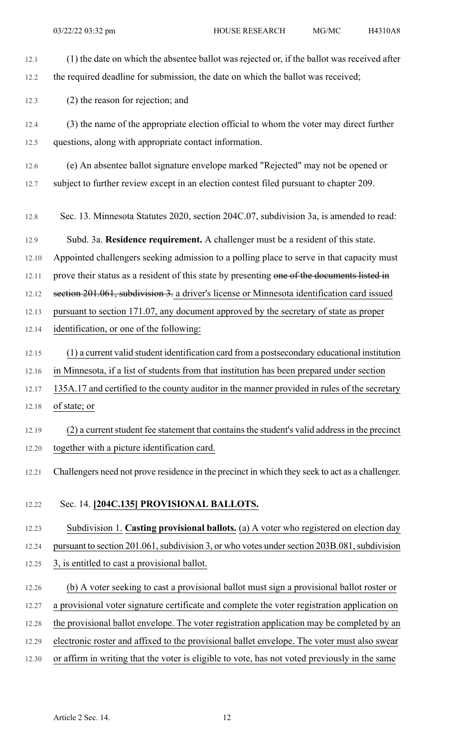- 12.1 (1) the date on which the absentee ballot was rejected or, if the ballot was received after 12.2 the required deadline for submission, the date on which the ballot was received;
- 12.3 (2) the reason for rejection; and
- 12.4 (3) the name of the appropriate election official to whom the voter may direct further 12.5 questions, along with appropriate contact information.
- 12.6 (e) An absentee ballot signature envelope marked "Rejected" may not be opened or 12.7 subject to further review except in an election contest filed pursuant to chapter 209.
- 12.8 Sec. 13. Minnesota Statutes 2020, section 204C.07, subdivision 3a, is amended to read:
- 12.9 Subd. 3a. **Residence requirement.** A challenger must be a resident of this state.
- 12.10 Appointed challengers seeking admission to a polling place to serve in that capacity must
- 12.11 prove their status as a resident of this state by presenting one of the documents listed in
- 12.12 section 201.061, subdivision 3. a driver's license or Minnesota identification card issued
- 12.13 pursuant to section 171.07, any document approved by the secretary of state as proper
- 12.14 identification, or one of the following:
- 12.15 (1) a current valid student identification card from a postsecondary educational institution
- 12.16 in Minnesota, if a list of students from that institution has been prepared under section
- 12.17 135A.17 and certified to the county auditor in the manner provided in rules of the secretary
- 12.18 of state; or
- 12.19 (2) a current student fee statement that contains the student's valid address in the precinct 12.20 together with a picture identification card.
- 12.21 Challengers need not prove residence in the precinct in which they seek to act as a challenger.
- 12.22 Sec. 14. **[204C.135] PROVISIONAL BALLOTS.**
- 12.23 Subdivision 1. **Casting provisional ballots.** (a) A voter who registered on election day 12.24 pursuant to section 201.061, subdivision 3, or who votes under section 203B.081, subdivision 12.25 3, is entitled to cast a provisional ballot.
- 12.26 (b) A voter seeking to cast a provisional ballot must sign a provisional ballot roster or 12.27 a provisional voter signature certificate and complete the voter registration application on 12.28 the provisional ballot envelope. The voter registration application may be completed by an 12.29 electronic roster and affixed to the provisional ballet envelope. The voter must also swear 12.30 or affirm in writing that the voter is eligible to vote, has not voted previously in the same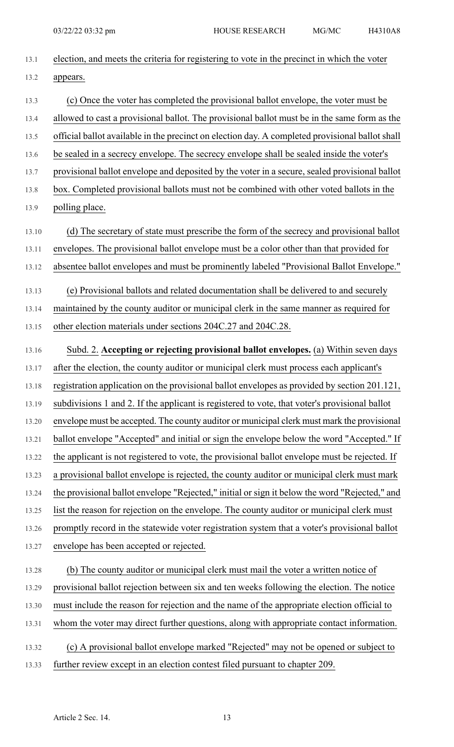| 13.1  | election, and meets the criteria for registering to vote in the precinct in which the voter     |
|-------|-------------------------------------------------------------------------------------------------|
| 13.2  | appears.                                                                                        |
| 13.3  | (c) Once the voter has completed the provisional ballot envelope, the voter must be             |
| 13.4  | allowed to cast a provisional ballot. The provisional ballot must be in the same form as the    |
| 13.5  | official ballot available in the precinct on election day. A completed provisional ballot shall |
| 13.6  | be sealed in a secrecy envelope. The secrecy envelope shall be sealed inside the voter's        |
| 13.7  | provisional ballot envelope and deposited by the voter in a secure, sealed provisional ballot   |
| 13.8  | box. Completed provisional ballots must not be combined with other voted ballots in the         |
| 13.9  | polling place.                                                                                  |
| 13.10 | (d) The secretary of state must prescribe the form of the secrecy and provisional ballot        |
| 13.11 | envelopes. The provisional ballot envelope must be a color other than that provided for         |
| 13.12 | absentee ballot envelopes and must be prominently labeled "Provisional Ballot Envelope."        |
| 13.13 | (e) Provisional ballots and related documentation shall be delivered to and securely            |
| 13.14 | maintained by the county auditor or municipal clerk in the same manner as required for          |
| 13.15 | other election materials under sections 204C.27 and 204C.28.                                    |
| 13.16 | Subd. 2. Accepting or rejecting provisional ballot envelopes. (a) Within seven days             |
| 13.17 | after the election, the county auditor or municipal clerk must process each applicant's         |
| 13.18 | registration application on the provisional ballot envelopes as provided by section 201.121,    |
| 13.19 | subdivisions 1 and 2. If the applicant is registered to vote, that voter's provisional ballot   |
| 13.20 | envelope must be accepted. The county auditor or municipal clerk must mark the provisional      |
| 13.21 | ballot envelope "Accepted" and initial or sign the envelope below the word "Accepted." If       |
| 13.22 | the applicant is not registered to vote, the provisional ballot envelope must be rejected. If   |
| 13.23 | a provisional ballot envelope is rejected, the county auditor or municipal clerk must mark      |
| 13.24 | the provisional ballot envelope "Rejected," initial or sign it below the word "Rejected," and   |
| 13.25 | list the reason for rejection on the envelope. The county auditor or municipal clerk must       |
| 13.26 | promptly record in the statewide voter registration system that a voter's provisional ballot    |
| 13.27 | envelope has been accepted or rejected.                                                         |
| 13.28 | (b) The county auditor or municipal clerk must mail the voter a written notice of               |
| 13.29 | provisional ballot rejection between six and ten weeks following the election. The notice       |
| 13.30 | must include the reason for rejection and the name of the appropriate election official to      |
| 13.31 | whom the voter may direct further questions, along with appropriate contact information.        |
| 13.32 | (c) A provisional ballot envelope marked "Rejected" may not be opened or subject to             |
| 13.33 | further review except in an election contest filed pursuant to chapter 209.                     |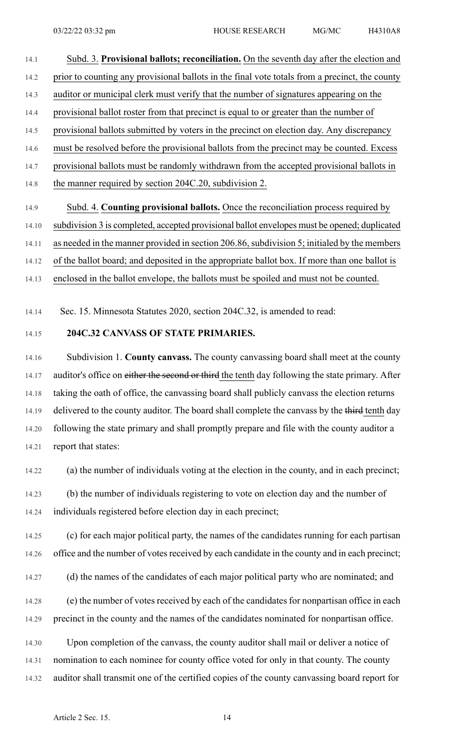- 14.1 Subd. 3. **Provisional ballots; reconciliation.** On the seventh day after the election and 14.2 prior to counting any provisional ballots in the final vote totals from a precinct, the county 14.3 auditor or municipal clerk must verify that the number of signatures appearing on the 14.4 provisional ballot roster from that precinct is equal to or greater than the number of 14.5 provisional ballots submitted by voters in the precinct on election day. Any discrepancy 14.6 must be resolved before the provisional ballots from the precinct may be counted. Excess 14.7 provisional ballots must be randomly withdrawn from the accepted provisional ballots in 14.8 the manner required by section 204C.20, subdivision 2.
- 14.9 Subd. 4. **Counting provisional ballots.** Once the reconciliation process required by 14.10 subdivision 3 is completed, accepted provisional ballot envelopes must be opened; duplicated 14.11 as needed in the manner provided in section 206.86, subdivision 5; initialed by the members 14.12 of the ballot board; and deposited in the appropriate ballot box. If more than one ballot is 14.13 enclosed in the ballot envelope, the ballots must be spoiled and must not be counted.

14.14 Sec. 15. Minnesota Statutes 2020, section 204C.32, is amended to read:

#### 14.15 **204C.32 CANVASS OF STATE PRIMARIES.**

14.16 Subdivision 1. **County canvass.** The county canvassing board shall meet at the county 14.17 auditor's office on either the second or third the tenth day following the state primary. After 14.18 taking the oath of office, the canvassing board shall publicly canvass the election returns 14.19 delivered to the county auditor. The board shall complete the canvass by the third tenth day 14.20 following the state primary and shall promptly prepare and file with the county auditor a 14.21 report that states:

14.22 (a) the number of individuals voting at the election in the county, and in each precinct;

14.23 (b) the number of individuals registering to vote on election day and the number of 14.24 individuals registered before election day in each precinct;

14.25 (c) for each major political party, the names of the candidates running for each partisan 14.26 office and the number of votes received by each candidate in the county and in each precinct;

14.27 (d) the names of the candidates of each major political party who are nominated; and

14.28 (e) the number of votes received by each of the candidates for nonpartisan office in each 14.29 precinct in the county and the names of the candidates nominated for nonpartisan office.

14.30 Upon completion of the canvass, the county auditor shall mail or deliver a notice of 14.31 nomination to each nominee for county office voted for only in that county. The county 14.32 auditor shall transmit one of the certified copies of the county canvassing board report for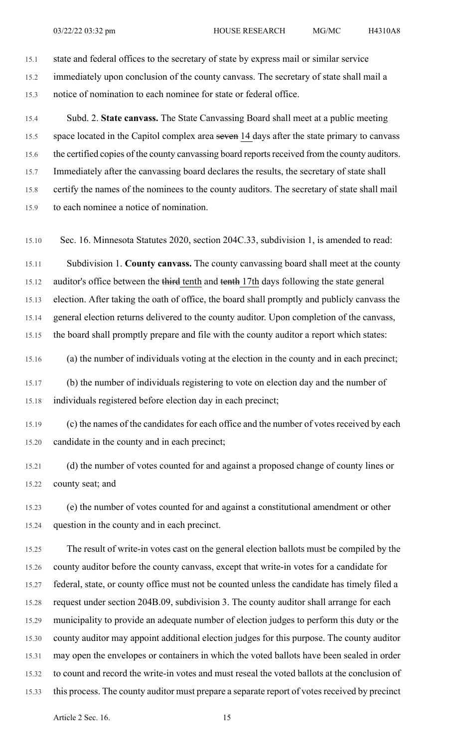15.1 state and federal offices to the secretary of state by express mail or similar service 15.2 immediately upon conclusion of the county canvass. The secretary of state shall mail a 15.3 notice of nomination to each nominee for state or federal office.

15.4 Subd. 2. **State canvass.** The State Canvassing Board shall meet at a public meeting 15.5 space located in the Capitol complex area seven 14 days after the state primary to canvass 15.6 the certified copies of the county canvassing board reports received from the county auditors. 15.7 Immediately after the canvassing board declares the results, the secretary of state shall 15.8 certify the names of the nominees to the county auditors. The secretary of state shall mail 15.9 to each nominee a notice of nomination.

15.10 Sec. 16. Minnesota Statutes 2020, section 204C.33, subdivision 1, is amended to read:

15.11 Subdivision 1. **County canvass.** The county canvassing board shall meet at the county 15.12 auditor's office between the third tenth and tenth 17th days following the state general 15.13 election. After taking the oath of office, the board shall promptly and publicly canvass the 15.14 general election returns delivered to the county auditor. Upon completion of the canvass, 15.15 the board shall promptly prepare and file with the county auditor a report which states:

15.16 (a) the number of individuals voting at the election in the county and in each precinct;

15.17 (b) the number of individuals registering to vote on election day and the number of 15.18 individuals registered before election day in each precinct;

15.19 (c) the names of the candidates for each office and the number of votes received by each 15.20 candidate in the county and in each precinct;

15.21 (d) the number of votes counted for and against a proposed change of county lines or 15.22 county seat; and

15.23 (e) the number of votes counted for and against a constitutional amendment or other 15.24 question in the county and in each precinct.

15.25 The result of write-in votes cast on the general election ballots must be compiled by the 15.26 county auditor before the county canvass, except that write-in votes for a candidate for 15.27 federal, state, or county office must not be counted unless the candidate has timely filed a 15.28 request under section 204B.09, subdivision 3. The county auditor shall arrange for each 15.29 municipality to provide an adequate number of election judges to perform this duty or the 15.30 county auditor may appoint additional election judges for this purpose. The county auditor 15.31 may open the envelopes or containers in which the voted ballots have been sealed in order 15.32 to count and record the write-in votes and must reseal the voted ballots at the conclusion of 15.33 this process. The county auditor must prepare a separate report of votes received by precinct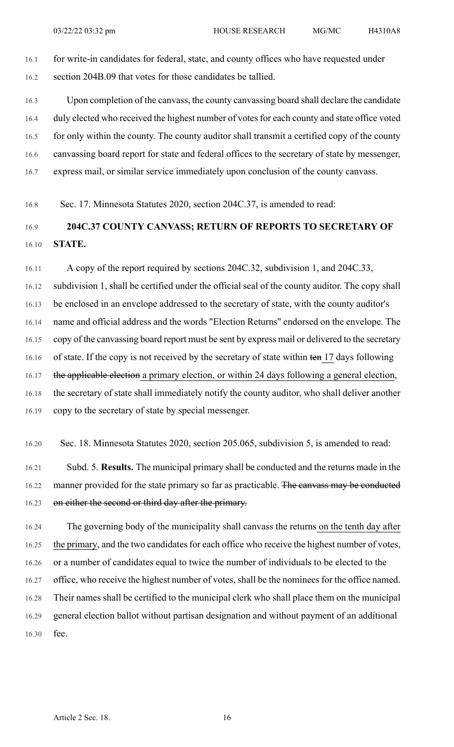16.1 for write-in candidates for federal, state, and county offices who have requested under 16.2 section 204B.09 that votes for those candidates be tallied.

16.3 Upon completion of the canvass, the county canvassing board shall declare the candidate 16.4 duly elected who received the highest number of votes for each county and state office voted 16.5 for only within the county. The county auditor shall transmit a certified copy of the county 16.6 canvassing board report for state and federal offices to the secretary of state by messenger, 16.7 express mail, or similar service immediately upon conclusion of the county canvass.

16.8 Sec. 17. Minnesota Statutes 2020, section 204C.37, is amended to read:

## 16.9 **204C.37 COUNTY CANVASS; RETURN OF REPORTS TO SECRETARY OF** 16.10 **STATE.**

16.11 A copy of the report required by sections 204C.32, subdivision 1, and 204C.33, 16.12 subdivision 1, shall be certified under the official seal of the county auditor. The copy shall 16.13 be enclosed in an envelope addressed to the secretary of state, with the county auditor's 16.14 name and official address and the words "Election Returns" endorsed on the envelope. The 16.15 copy of the canvassing board report must be sent by express mail or delivered to the secretary 16.16 of state. If the copy is not received by the secretary of state within ten 17 days following 16.17 the applicable election a primary election, or within 24 days following a general election, 16.18 the secretary of state shall immediately notify the county auditor, who shall deliver another 16.19 copy to the secretary of state by special messenger.

16.20 Sec. 18. Minnesota Statutes 2020, section 205.065, subdivision 5, is amended to read:

16.21 Subd. 5. **Results.** The municipal primary shall be conducted and the returns made in the 16.22 manner provided for the state primary so far as practicable. The canvass may be conducted 16.23 on either the second or third day after the primary.

16.24 The governing body of the municipality shall canvass the returns on the tenth day after 16.25 the primary, and the two candidates for each office who receive the highest number of votes, 16.26 or a number of candidates equal to twice the number of individuals to be elected to the 16.27 office, who receive the highest number of votes, shall be the nominees for the office named. 16.28 Their names shall be certified to the municipal clerk who shall place them on the municipal 16.29 general election ballot without partisan designation and without payment of an additional 16.30 fee.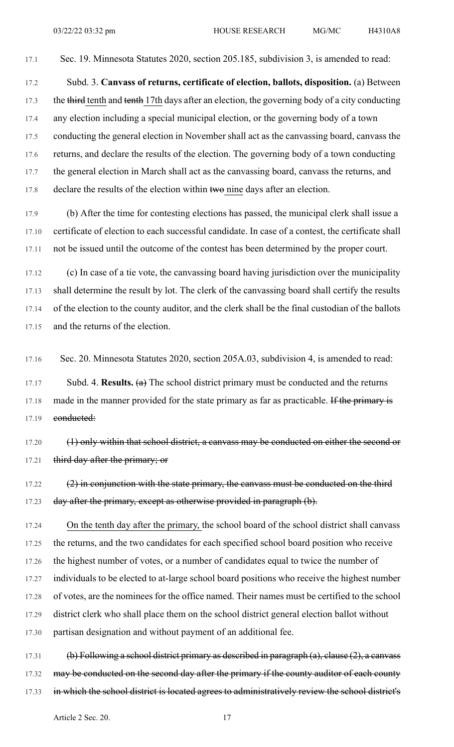17.1 Sec. 19. Minnesota Statutes 2020, section 205.185, subdivision 3, is amended to read:

17.2 Subd. 3. **Canvass of returns, certificate of election, ballots, disposition.** (a) Between 17.3 the third tenth and tenth 17th days after an election, the governing body of a city conducting 17.4 any election including a special municipal election, or the governing body of a town 17.5 conducting the general election in November shall act as the canvassing board, canvass the 17.6 returns, and declare the results of the election. The governing body of a town conducting 17.7 the general election in March shall act as the canvassing board, canvass the returns, and 17.8 declare the results of the election within two nine days after an election.

17.9 (b) After the time for contesting elections has passed, the municipal clerk shall issue a 17.10 certificate of election to each successful candidate. In case of a contest, the certificate shall 17.11 not be issued until the outcome of the contest has been determined by the proper court.

17.12 (c) In case of a tie vote, the canvassing board having jurisdiction over the municipality 17.13 shall determine the result by lot. The clerk of the canvassing board shall certify the results 17.14 of the election to the county auditor, and the clerk shall be the final custodian of the ballots 17.15 and the returns of the election.

17.16 Sec. 20. Minnesota Statutes 2020, section 205A.03, subdivision 4, is amended to read:

17.17 Subd. 4. **Results.** (a) The school district primary must be conducted and the returns 17.18 made in the manner provided for the state primary as far as practicable. If the primary is 17.19 conducted:

17.20 (1) only within that school district, a canvass may be conducted on either the second or 17.21 third day after the primary; or

 $17.22$  (2) in conjunction with the state primary, the canvass must be conducted on the third 17.23 day after the primary, except as otherwise provided in paragraph (b).

17.24 On the tenth day after the primary, the school board of the school district shall canvass 17.25 the returns, and the two candidates for each specified school board position who receive 17.26 the highest number of votes, or a number of candidates equal to twice the number of 17.27 individuals to be elected to at-large school board positions who receive the highest number 17.28 of votes, are the nominees for the office named. Their names must be certified to the school 17.29 district clerk who shall place them on the school district general election ballot without 17.30 partisan designation and without payment of an additional fee.

17.31 (b) Following a school district primary as described in paragraph (a), clause (2), a canvass 17.32 may be conducted on the second day after the primary if the county auditor of each county 17.33 in which the school district is located agrees to administratively review the school district's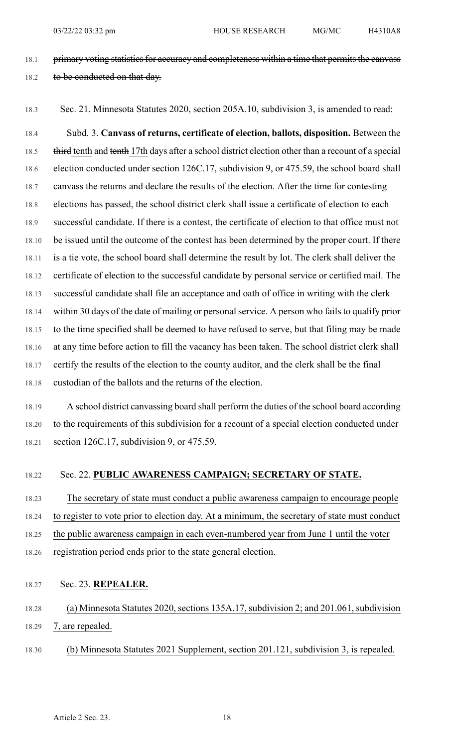- 18.1 primary voting statistics for accuracy and completeness within a time that permits the canvass 18.2 to be conducted on that day.
- 

18.3 Sec. 21. Minnesota Statutes 2020, section 205A.10, subdivision 3, is amended to read:

18.4 Subd. 3. **Canvass of returns, certificate of election, ballots, disposition.** Between the 18.5 third tenth and tenth 17th days after a school district election other than a recount of a special 18.6 election conducted under section 126C.17, subdivision 9, or 475.59, the school board shall 18.7 canvass the returns and declare the results of the election. After the time for contesting 18.8 elections has passed, the school district clerk shall issue a certificate of election to each 18.9 successful candidate. If there is a contest, the certificate of election to that office must not 18.10 be issued until the outcome of the contest has been determined by the proper court. If there 18.11 is a tie vote, the school board shall determine the result by lot. The clerk shall deliver the 18.12 certificate of election to the successful candidate by personal service or certified mail. The 18.13 successful candidate shall file an acceptance and oath of office in writing with the clerk 18.14 within 30 days of the date of mailing or personal service. A person who fails to qualify prior 18.15 to the time specified shall be deemed to have refused to serve, but that filing may be made 18.16 at any time before action to fill the vacancy has been taken. The school district clerk shall 18.17 certify the results of the election to the county auditor, and the clerk shall be the final 18.18 custodian of the ballots and the returns of the election.

18.19 A school district canvassing board shall perform the duties of the school board according 18.20 to the requirements of this subdivision for a recount of a special election conducted under 18.21 section 126C.17, subdivision 9, or 475.59.

### 18.22 Sec. 22. **PUBLIC AWARENESS CAMPAIGN; SECRETARY OF STATE.**

18.23 The secretary of state must conduct a public awareness campaign to encourage people 18.24 to register to vote prior to election day. At a minimum, the secretary of state must conduct 18.25 the public awareness campaign in each even-numbered year from June 1 until the voter

- 
- 18.26 registration period ends prior to the state general election.
- 18.27 Sec. 23. **REPEALER.**

# 18.28 (a) Minnesota Statutes 2020, sections 135A.17, subdivision 2; and 201.061, subdivision 18.29 7, are repealed.

18.30 (b) Minnesota Statutes 2021 Supplement, section 201.121, subdivision 3, is repealed.